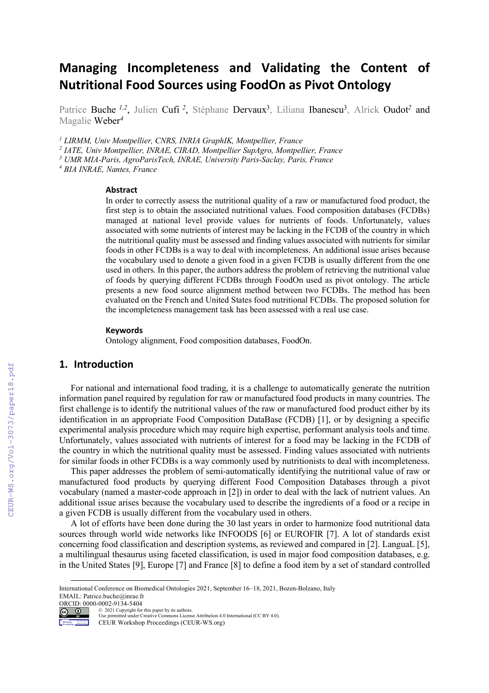# **Managing Incompleteness and Validating the Content of Nutritional Food Sources using FoodOn as Pivot Ontology**

Patrice Buche<sup>1,2</sup>, Julien Cufi<sup>2</sup>, Stéphane Dervaux<sup>3</sup>, Liliana Ibanescu<sup>3</sup>, Alrick Oudot<sup>2</sup> and Magalie Weber*<sup>4</sup>*

*<sup>1</sup> LIRMM, Univ Montpellier, CNRS, INRIA GraphIK, Montpellier, France* 

*<sup>2</sup> IATE, Univ Montpellier, INRAE, CIRAD, Montpellier SupAgro, Montpellier, France*

*<sup>3</sup> UMR MIA-Paris, AgroParisTech, INRAE, University Paris-Saclay, Paris, France*

*<sup>4</sup> BIA INRAE, Nantes, France* 

#### **Abstract**

In order to correctly assess the nutritional quality of a raw or manufactured food product, the first step is to obtain the associated nutritional values. Food composition databases (FCDBs) managed at national level provide values for nutrients of foods. Unfortunately, values associated with some nutrients of interest may be lacking in the FCDB of the country in which the nutritional quality must be assessed and finding values associated with nutrients for similar foods in other FCDBs is a way to deal with incompleteness. An additional issue arises because the vocabulary used to denote a given food in a given FCDB is usually different from the one used in others. In this paper, the authors address the problem of retrieving the nutritional value of foods by querying different FCDBs through FoodOn used as pivot ontology. The article presents a new food source alignment method between two FCDBs. The method has been evaluated on the French and United States food nutritional FCDBs. The proposed solution for the incompleteness management task has been assessed with a real use case.

#### **Keywords**

Ontology alignment, Food composition databases, FoodOn.

## **1. Introduction**

For national and international food trading, it is a challenge to automatically generate the nutrition information panel required by regulation for raw or manufactured food products in many countries. The first challenge is to identify the nutritional values of the raw or manufactured food product either by its identification in an appropriate Food Composition DataBase (FCDB) [1], or by designing a specific experimental analysis procedure which may require high expertise, performant analysis tools and time. Unfortunately, values associated with nutrients of interest for a food may be lacking in the FCDB of the country in which the nutritional quality must be assessed. Finding values associated with nutrients for similar foods in other FCDBs is a way commonly used by nutritionists to deal with incompleteness.

This paper addresses the problem of semi-automatically identifying the nutritional value of raw or manufactured food products by querying different Food Composition Databases through a pivot vocabulary (named a master-code approach in [2]) in order to deal with the lack of nutrient values. An additional issue arises because the vocabulary used to describe the ingredients of a food or a recipe in a given FCDB is usually different from the vocabulary used in others.

A lot of efforts have been done during the 30 last years in order to harmonize food nutritional data sources through world wide networks like INFOODS [6] or EUROFIR [7]. A lot of standards exist concerning food classification and description systems, as reviewed and compared in [2]. LanguaL [5], a multilingual thesaurus using faceted classification, is used in major food composition databases, e.g. in the United States [9], Europe [7] and France [8] to define a food item by a set of standard controlled

ORCID: 0000-0002-9134-5404 © 2021 Copyright for this paper by its authors.



Workshop Proceedings Use permitted under Creative Commons License Attribution 4.0 International (CC BY 4.0).

CEUR Workshop Proceedings (CEUR-WS.org)

International Conference on Biomedical Ontologies 2021, September 16–18, 2021, Bozen-Bolzano, Italy EMAIL: Patrice.buche@inrae.fr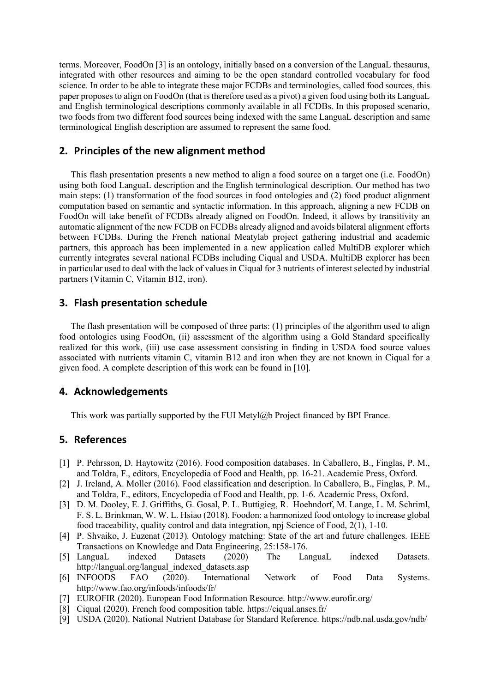terms. Moreover, FoodOn [3] is an ontology, initially based on a conversion of the LanguaL thesaurus, integrated with other resources and aiming to be the open standard controlled vocabulary for food science. In order to be able to integrate these major FCDBs and terminologies, called food sources, this paper proposes to align on FoodOn (that is therefore used as a pivot) a given food using both its LanguaL and English terminological descriptions commonly available in all FCDBs. In this proposed scenario, two foods from two different food sources being indexed with the same LanguaL description and same terminological English description are assumed to represent the same food.

### **2. Principles of the new alignment method**

This flash presentation presents a new method to align a food source on a target one (i.e. FoodOn) using both food LanguaL description and the English terminological description. Our method has two main steps: (1) transformation of the food sources in food ontologies and (2) food product alignment computation based on semantic and syntactic information. In this approach, aligning a new FCDB on FoodOn will take benefit of FCDBs already aligned on FoodOn. Indeed, it allows by transitivity an automatic alignment of the new FCDB on FCDBs already aligned and avoids bilateral alignment efforts between FCDBs. During the French national Meatylab project gathering industrial and academic partners, this approach has been implemented in a new application called MultiDB explorer which currently integrates several national FCDBs including Ciqual and USDA. MultiDB explorer has been in particular used to deal with the lack of values in Ciqual for 3 nutrients of interest selected by industrial partners (Vitamin C, Vitamin B12, iron).

### **3. Flash presentation schedule**

The flash presentation will be composed of three parts: (1) principles of the algorithm used to align food ontologies using FoodOn, (ii) assessment of the algorithm using a Gold Standard specifically realized for this work, (iii) use case assessment consisting in finding in USDA food source values associated with nutrients vitamin C, vitamin B12 and iron when they are not known in Ciqual for a given food. A complete description of this work can be found in [10].

#### **4. Acknowledgements**

This work was partially supported by the FUI Metyl@b Project financed by BPI France.

### **5. References**

- [1] P. Pehrsson, D. Haytowitz (2016). Food composition databases. In Caballero, B., Finglas, P. M., and Toldra, F., editors, Encyclopedia of Food and Health, pp. 16-21. Academic Press, Oxford.
- [2] J. Ireland, A. Moller (2016). Food classification and description. In Caballero, B., Finglas, P. M., and Toldra, F., editors, Encyclopedia of Food and Health, pp. 1-6. Academic Press, Oxford.
- [3] D. M. Dooley, E. J. Griffiths, G. Gosal, P. L. Buttigieg, R. Hoehndorf, M. Lange, L. M. Schriml, F. S. L. Brinkman, W. W. L. Hsiao (2018). Foodon: a harmonized food ontology to increase global food traceability, quality control and data integration, npj Science of Food, 2(1), 1-10.
- [4] P. Shvaiko, J. Euzenat (2013). Ontology matching: State of the art and future challenges. IEEE Transactions on Knowledge and Data Engineering, 25:158-176.
- [5] LanguaL indexed Datasets (2020) The LanguaL indexed Datasets. http://langual.org/langual\_indexed\_datasets.asp
- [6] INFOODS FAO (2020). International Network of Food Data Systems. http://www.fao.org/infoods/infoods/fr/
- [7] EUROFIR (2020). European Food Information Resource. http://www.eurofir.org/
- [8] Ciqual (2020). French food composition table. https://ciqual.anses.fr/
- [9] USDA (2020). National Nutrient Database for Standard Reference. https://ndb.nal.usda.gov/ndb/